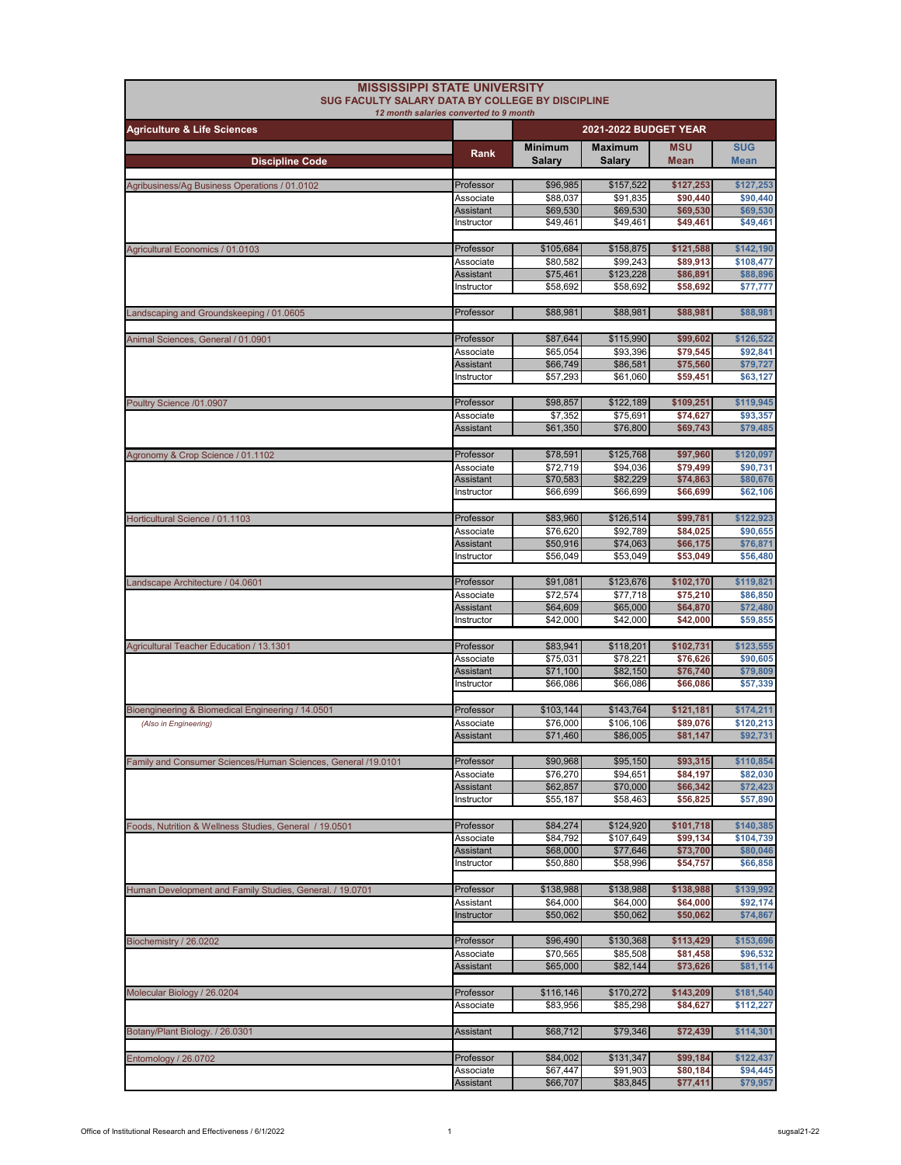| <b>MISSISSIPPI STATE UNIVERSITY</b><br>SUG FACULTY SALARY DATA BY COLLEGE BY DISCIPLINE | 12 month salaries converted to 9 month |                          |                                 |                       |                           |
|-----------------------------------------------------------------------------------------|----------------------------------------|--------------------------|---------------------------------|-----------------------|---------------------------|
| <b>Agriculture &amp; Life Sciences</b>                                                  | 2021-2022 BUDGET YEAR                  |                          |                                 |                       |                           |
| <b>Discipline Code</b>                                                                  | Rank                                   | <b>Minimum</b><br>Salary | <b>Maximum</b><br><b>Salary</b> | <b>MSU</b><br>Mean    | <b>SUG</b><br><b>Mean</b> |
|                                                                                         |                                        |                          |                                 |                       |                           |
| Agribusiness/Ag Business Operations / 01.0102                                           | Professor                              | \$96,985                 | \$157,522                       | \$127,253             | \$127,253                 |
|                                                                                         | Associate<br><b>Assistant</b>          | \$88,037<br>\$69,530     | \$91,835<br>\$69,530            | \$90,440<br>\$69,530  | \$90,440<br>\$69,530      |
|                                                                                         | Instructor                             | \$49,461                 | \$49,461                        | \$49,461              | \$49,461                  |
| Agricultural Economics / 01.0103                                                        | Professor                              | \$105,684                | \$158,875                       | \$121,588             | \$142,190                 |
|                                                                                         | Associate                              | \$80,582                 | \$99,243                        | \$89,913              | \$108,477                 |
|                                                                                         | Assistant                              | \$75,461                 | \$123,228                       | \$86,891              | \$88,896                  |
|                                                                                         | Instructor                             | \$58,692                 | \$58,692                        | \$58,692              | \$77,777                  |
| Landscaping and Groundskeeping / 01.0605                                                | Professor                              | \$88,981                 | \$88,981                        | \$88,981              | \$88,981                  |
|                                                                                         |                                        |                          |                                 |                       |                           |
| Animal Sciences, General / 01.0901                                                      | Professor                              | \$87,644                 | \$115,990                       | \$99,602              | \$126,522                 |
|                                                                                         | Associate<br>Assistant                 | \$65,054<br>\$66,749     | \$93,396<br>\$86,581            | \$79,545<br>\$75,560  | \$92,841<br>\$79,727      |
|                                                                                         | Instructor                             | \$57,293                 | \$61,060                        | \$59,451              | \$63,127                  |
|                                                                                         |                                        |                          |                                 |                       |                           |
| Poultry Science /01.0907                                                                | Professor                              | \$98,857                 | \$122,189                       | \$109,251             | \$119,945                 |
|                                                                                         | Associate<br>Assistant                 | \$7,352<br>\$61,350      | \$75,691<br>\$76,800            | \$74,627<br>\$69,743  | \$93,357<br>\$79,485      |
|                                                                                         |                                        |                          |                                 |                       |                           |
| Agronomy & Crop Science / 01.1102                                                       | Professor                              | \$78,591                 | \$125,768                       | \$97,960              | \$120,097                 |
|                                                                                         | Associate                              | \$72,719                 | \$94,036                        | \$79,499              | \$90,731                  |
|                                                                                         | <b>Assistant</b>                       | \$70,583                 | \$82,229                        | \$74,863              | \$80,676                  |
|                                                                                         | Instructor                             | \$66,699                 | \$66,699                        | \$66,699              | \$62,106                  |
| Horticultural Science / 01.1103                                                         | Professor                              | \$83,960                 | \$126,514                       | \$99,781              | \$122,923                 |
|                                                                                         | Associate                              | \$76,620                 | \$92,789                        | \$84,025              | \$90,655                  |
|                                                                                         | Assistant                              | \$50,916                 | \$74,063                        | \$66,175              | \$76,871                  |
|                                                                                         | Instructor                             | \$56,049                 | \$53,049                        | \$53,049              | \$56,480                  |
|                                                                                         | Professor                              | \$91,081                 | \$123,676                       | \$102,170             | \$119,821                 |
| Landscape Architecture / 04.0601                                                        | Associate                              | \$72,574                 | \$77,718                        | \$75,210              | \$86,850                  |
|                                                                                         | <b>Assistant</b>                       | \$64,609                 | \$65,000                        | \$64,870              | \$72,480                  |
|                                                                                         | Instructor                             | \$42,000                 | \$42,000                        | \$42,000              | \$59,855                  |
|                                                                                         |                                        |                          |                                 |                       |                           |
| Agricultural Teacher Education / 13.1301                                                | Professor<br>Associate                 | \$83,941<br>\$75,031     | \$118,201<br>\$78,221           | \$102,731<br>\$76,626 | \$123,555<br>\$90,605     |
|                                                                                         | Assistant                              | \$71,100                 | \$82,150                        | \$76,740              | \$79,809                  |
|                                                                                         | Instructor                             | \$66,086                 | \$66,086                        | \$66,086              | \$57,339                  |
| Bioengineering & Biomedical Engineering / 14.0501                                       | Professor                              | \$103,144                | \$143,764                       | \$121,181             | \$174,211                 |
| (Also in Engineering)                                                                   | Associate                              | \$76,000                 | \$106,106                       | \$89,076              | \$120,213                 |
|                                                                                         | Assistant                              | \$71,460                 | \$86,005                        | \$81,147              | \$92.731                  |
|                                                                                         |                                        |                          |                                 |                       | \$110,854                 |
| Family and Consumer Sciences/Human Sciences, General /19.0101                           | Professor<br>Associate                 | \$90,968<br>\$76,270     | \$95,150<br>\$94,651            | \$93,315<br>\$84,197  | \$82,030                  |
|                                                                                         | <b>Assistant</b>                       | \$62,857                 | \$70,000                        | \$66,342              | \$72,423                  |
|                                                                                         | Instructor                             | \$55,187                 | \$58,463                        | \$56,825              | \$57,890                  |
|                                                                                         |                                        |                          |                                 |                       |                           |
| Foods, Nutrition & Wellness Studies, General / 19.0501                                  | Professor<br>Associate                 | \$84,274<br>\$84,792     | \$124,920<br>\$107,649          | \$101,718<br>\$99,134 | \$140,385<br>\$104,739    |
|                                                                                         | Assistant                              | \$68,000                 | \$77,646                        | \$73,700              | \$80,046                  |
|                                                                                         | Instructor                             | \$50,880                 | \$58,996                        | \$54,757              | \$66,858                  |
|                                                                                         |                                        | \$138,988                | \$138,988                       | \$138,988             | \$139,992                 |
| Human Development and Family Studies, General. / 19.0701                                | Professor<br>Assistant                 | \$64,000                 | \$64,000                        | \$64,000              | \$92,174                  |
|                                                                                         | Instructor                             | \$50,062                 | \$50,062                        | \$50.062              | \$74,867                  |
|                                                                                         |                                        |                          |                                 |                       |                           |
| Biochemistry / 26.0202                                                                  | Professor                              | \$96,490                 | \$130,368                       | \$113,429             | \$153,696                 |
|                                                                                         | Associate<br><b>Assistant</b>          | \$70,565<br>\$65,000     | \$85,508<br>\$82,144            | \$81,458<br>\$73,626  | \$96,532<br>\$81,114      |
|                                                                                         |                                        |                          |                                 |                       |                           |
| Molecular Biology / 26.0204                                                             | Professor                              | \$116,146                | \$170,272                       | \$143,209             | \$181,540                 |
|                                                                                         | Associate                              | \$83,956                 | \$85,298                        | \$84,627              | \$112,227                 |
|                                                                                         |                                        |                          |                                 |                       |                           |
| Botany/Plant Biology. / 26.0301                                                         | Assistant                              | \$68,712                 | \$79,346                        | \$72,439              | \$114,301                 |
| Entomology / 26.0702                                                                    | Professor                              | \$84,002                 | \$131,347                       | \$99,184              | \$122,437                 |
|                                                                                         | Associate                              | \$67,447                 | \$91,903                        | \$80,184              | \$94,445                  |
|                                                                                         | <b>Assistant</b>                       | \$66,707                 | \$83,845                        | \$77,411              | \$79,957                  |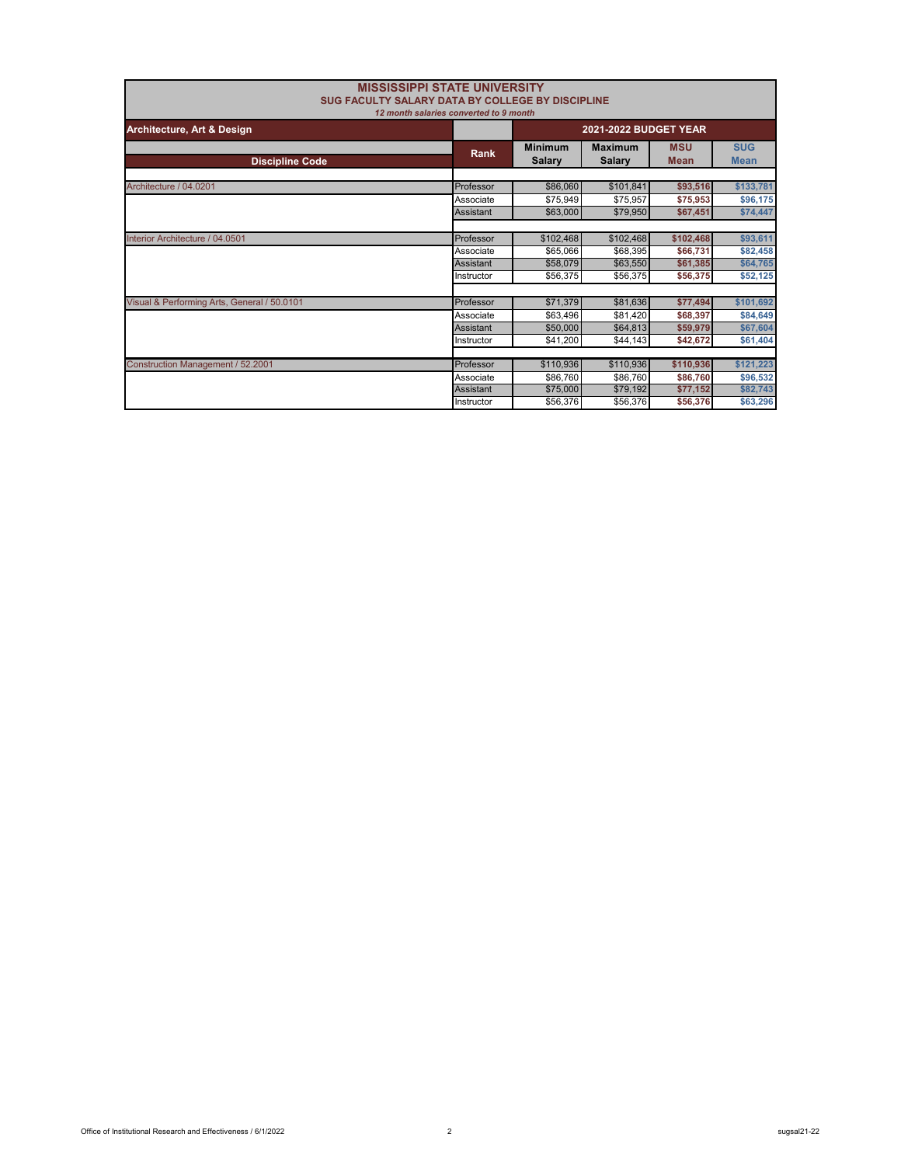| <b>MISSISSIPPI STATE UNIVERSITY</b><br><b>SUG FACULTY SALARY DATA BY COLLEGE BY DISCIPLINE</b> |                                                                        |                                 |                                 |                           |                           |
|------------------------------------------------------------------------------------------------|------------------------------------------------------------------------|---------------------------------|---------------------------------|---------------------------|---------------------------|
| Architecture, Art & Design                                                                     | 12 month salaries converted to 9 month<br><b>2021-2022 BUDGET YEAR</b> |                                 |                                 |                           |                           |
| <b>Discipline Code</b>                                                                         | Rank                                                                   | <b>Minimum</b><br><b>Salary</b> | <b>Maximum</b><br><b>Salary</b> | <b>MSU</b><br><b>Mean</b> | <b>SUG</b><br><b>Mean</b> |
|                                                                                                |                                                                        |                                 |                                 |                           |                           |
| Architecture / 04.0201                                                                         | Professor                                                              | \$86,060                        | \$101,841                       | \$93,516                  | \$133,781                 |
|                                                                                                | Associate                                                              | \$75,949                        | \$75,957                        | \$75,953                  | \$96,175                  |
|                                                                                                | Assistant                                                              | \$63,000                        | \$79,950                        | \$67,451                  | \$74,447                  |
|                                                                                                |                                                                        |                                 |                                 |                           |                           |
| Interior Architecture / 04.0501                                                                | Professor                                                              | \$102,468                       | \$102,468                       | \$102,468                 | \$93,611                  |
|                                                                                                | Associate                                                              | \$65,066                        | \$68,395                        | \$66,731                  | \$82,458                  |
|                                                                                                | Assistant                                                              | \$58,079                        | \$63,550                        | \$61,385                  | \$64,765                  |
|                                                                                                | Instructor                                                             | \$56,375                        | \$56,375                        | \$56,375                  | \$52,125                  |
|                                                                                                |                                                                        |                                 |                                 |                           |                           |
| Visual & Performing Arts, General / 50.0101                                                    | Professor                                                              | \$71,379                        | \$81,636                        | \$77,494                  | \$101,692                 |
|                                                                                                | Associate                                                              | \$63,496                        | \$81.420                        | \$68,397                  | \$84,649                  |
|                                                                                                | Assistant                                                              | \$50,000                        | \$64,813                        | \$59,979                  | \$67,604                  |
|                                                                                                | Instructor                                                             | \$41,200                        | \$44,143                        | \$42.672                  | \$61,404                  |
|                                                                                                |                                                                        |                                 |                                 |                           |                           |
| Construction Management / 52.2001                                                              | Professor                                                              | \$110,936                       | \$110,936                       | \$110,936                 | \$121,223                 |
|                                                                                                | Associate                                                              | \$86,760                        | \$86,760                        | \$86,760                  | \$96,532                  |
|                                                                                                | Assistant                                                              | \$75,000                        | \$79,192                        | \$77,152                  | \$82,743                  |
|                                                                                                | Instructor                                                             | \$56,376                        | \$56,376                        | \$56,376                  | \$63,296                  |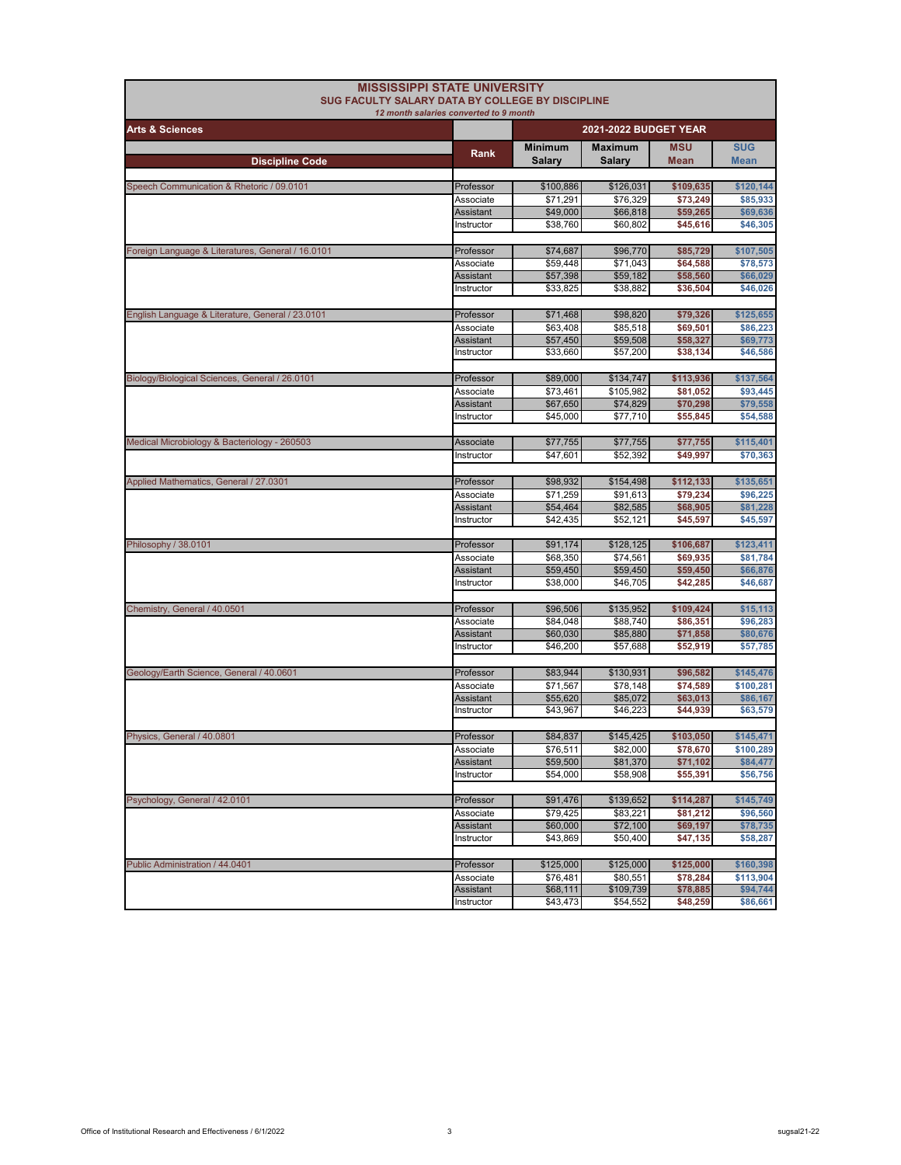| <b>MISSISSIPPI STATE UNIVERSITY</b><br>SUG FACULTY SALARY DATA BY COLLEGE BY DISCIPLINE |                                |                      |                       |                      |                      |
|-----------------------------------------------------------------------------------------|--------------------------------|----------------------|-----------------------|----------------------|----------------------|
| 12 month salaries converted to 9 month                                                  |                                |                      |                       |                      |                      |
| <b>Arts &amp; Sciences</b>                                                              |                                |                      | 2021-2022 BUDGET YEAR |                      |                      |
|                                                                                         | Rank                           | <b>Minimum</b>       | <b>Maximum</b>        | <b>MSU</b>           | <b>SUG</b>           |
| <b>Discipline Code</b>                                                                  |                                | Salary               | <b>Salary</b>         | Mean                 | <b>Mean</b>          |
| Speech Communication & Rhetoric / 09.0101                                               | Professor                      | \$100,886            | \$126,031             | \$109,635            | \$120,144            |
|                                                                                         | Associate                      | \$71,291             | \$76,329              | \$73,249             | \$85,933             |
|                                                                                         | Assistant                      | \$49,000             | \$66,818              | \$59,265             | \$69,636             |
|                                                                                         | Instructor                     | \$38,760             | \$60,802              | \$45,616             | \$46,305             |
|                                                                                         |                                |                      |                       |                      |                      |
| Foreign Language & Literatures, General / 16.0101                                       | Professor                      | \$74,687             | \$96,770              | \$85,729             | \$107,505            |
|                                                                                         | Associate                      | \$59,448             | \$71,043              | \$64,588             | \$78,573             |
|                                                                                         | <b>Assistant</b>               | \$57,398             | \$59,182              | \$58,560             | \$66,029             |
|                                                                                         | Instructor                     | \$33,825             | \$38,882              | \$36,504             | \$46,026             |
| English Language & Literature, General / 23.0101                                        | Professor                      | \$71,468             | \$98,820              | \$79,326             | \$125,655            |
|                                                                                         | Associate                      | \$63,408             | \$85,518              | \$69,501             | \$86,223             |
|                                                                                         | Assistant                      | \$57,450             | \$59,508              | \$58,327             | \$69,773             |
|                                                                                         | Instructor                     | \$33,660             | \$57,200              | \$38,134             | \$46,586             |
|                                                                                         |                                |                      |                       |                      |                      |
| Biology/Biological Sciences, General / 26.0101                                          | Professor                      | \$89,000             | \$134,747             | \$113,936            | \$137,564            |
|                                                                                         | Associate                      | \$73,461             | \$105,982             | \$81,052             | \$93,445             |
|                                                                                         | <b>Assistant</b>               | \$67,650             | \$74,829              | \$70,298             | \$79,558             |
|                                                                                         | Instructor                     | \$45,000             | \$77,710              | \$55,845             | \$54,588             |
| Medical Microbiology & Bacteriology - 260503                                            | Associate                      | \$77,755             | \$77,755              | \$77,755             | \$115,401            |
|                                                                                         | Instructor                     | \$47.601             | \$52,392              | \$49,997             | \$70,363             |
|                                                                                         |                                |                      |                       |                      |                      |
| Applied Mathematics, General / 27.0301                                                  | Professor                      | \$98,932             | \$154,498             | \$112,133            | \$135,651            |
|                                                                                         | Associate                      | \$71,259             | \$91,613              | \$79,234             | \$96,225             |
|                                                                                         | <b>Assistant</b>               | \$54,464             | \$82,585              | \$68,905             | \$81,228             |
|                                                                                         | Instructor                     | \$42,435             | \$52,121              | \$45,597             | \$45,597             |
|                                                                                         |                                |                      |                       |                      |                      |
| Philosophy / 38.0101                                                                    | Professor                      | \$91,174             | \$128,125             | \$106,687            | \$123,411            |
|                                                                                         | Associate                      | \$68,350             | \$74,561              | \$69,935             | \$81,784             |
|                                                                                         | Assistant<br>Instructor        | \$59,450<br>\$38,000 | \$59,450<br>\$46,705  | \$59,450<br>\$42,285 | \$66,876<br>\$46,687 |
|                                                                                         |                                |                      |                       |                      |                      |
| Chemistry, General / 40.0501                                                            | Professor                      | \$96,506             | \$135,952             | \$109,424            | \$15,113             |
|                                                                                         | Associate                      | \$84,048             | \$88,740              | \$86,351             | \$96,283             |
|                                                                                         | Assistant                      | \$60,030             | \$85,880              | \$71,858             | \$80,676             |
|                                                                                         | Instructor                     | \$46,200             | \$57,688              | \$52,919             | \$57,785             |
|                                                                                         |                                |                      |                       |                      |                      |
| Geology/Earth Science, General / 40.0601                                                | Professor                      | \$83,944             | \$130,931             | \$96,582             | \$145,476            |
|                                                                                         | Associate                      | \$71,567             | \$78.148              | \$74,589             | \$100,281            |
|                                                                                         | <b>Assistant</b><br>Instructor | \$55,620<br>\$43,967 | \$85,072<br>\$46,223  | \$63,013<br>\$44.939 | \$86,167<br>\$63,579 |
|                                                                                         |                                |                      |                       |                      |                      |
| Physics, General / 40.0801                                                              | Professor                      | \$84,837             | \$145,425             | \$103,050            | \$145,471            |
|                                                                                         | Associate                      | \$76,511             | \$82,000              | \$78,670             | \$100,289            |
|                                                                                         | Assistant                      | \$59,500             | \$81,370              | \$71,102             | \$84,477             |
|                                                                                         | Instructor                     | \$54,000             | \$58,908              | \$55,391             | \$56,756             |
|                                                                                         |                                |                      |                       |                      |                      |
| Psychology, General / 42.0101                                                           | Professor                      | \$91,476             | \$139,652             | \$114,287            | \$145,749            |
|                                                                                         | Associate                      | \$79,425             | \$83,221              | \$81,212             | \$96,560             |
|                                                                                         | <b>Assistant</b><br>Instructor | \$60,000<br>\$43,869 | \$72,100<br>\$50,400  | \$69,197<br>\$47,135 | \$78,735<br>\$58,287 |
|                                                                                         |                                |                      |                       |                      |                      |
| Public Administration / 44.0401                                                         | Professor                      | \$125,000            | \$125,000             | \$125,000            | \$160,398            |
|                                                                                         | Associate                      | \$76,481             | \$80,551              | \$78,284             | \$113,904            |
|                                                                                         | Assistant                      | \$68,111             | \$109,739             | \$78,885             | \$94,744             |
|                                                                                         | Instructor                     | \$43,473             | \$54,552              | \$48,259             | \$86,661             |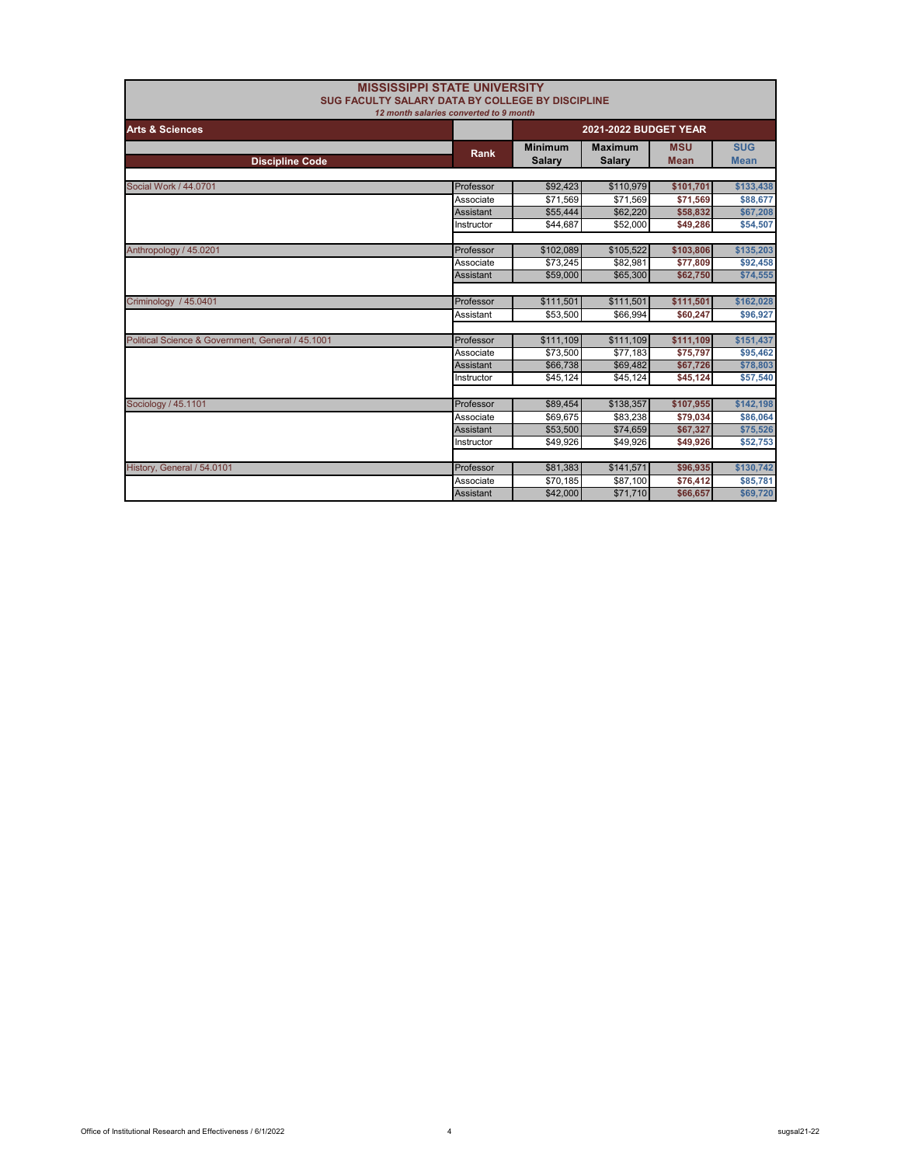| SUG FACULTY SALARY DATA BY COLLEGE BY DISCIPLINE  | <b>MISSISSIPPI STATE UNIVERSITY</b>    |                      |                              |             |             |
|---------------------------------------------------|----------------------------------------|----------------------|------------------------------|-------------|-------------|
|                                                   | 12 month salaries converted to 9 month |                      |                              |             |             |
| <b>Arts &amp; Sciences</b>                        |                                        |                      | <b>2021-2022 BUDGET YEAR</b> |             |             |
|                                                   | Rank                                   | <b>Minimum</b>       | <b>Maximum</b>               | <b>MSU</b>  | <b>SUG</b>  |
| <b>Discipline Code</b>                            |                                        | <b>Salary</b>        | <b>Salary</b>                | <b>Mean</b> | <b>Mean</b> |
| Social Work / 44.0701                             | Professor                              | \$92,423             | \$110,979                    | \$101,701   | \$133,438   |
|                                                   | Associate                              | \$71.569             | \$71.569                     |             |             |
|                                                   |                                        |                      |                              | \$71,569    | \$88,677    |
|                                                   | <b>Assistant</b>                       | \$55,444<br>\$44.687 | \$62,220                     | \$58,832    | \$67,208    |
|                                                   | Instructor                             |                      | \$52,000                     | \$49,286    | \$54,507    |
| Anthropology / 45.0201                            | Professor                              | \$102,089            | \$105,522                    | \$103,806   | \$135,203   |
|                                                   | Associate                              | \$73,245             | \$82,981                     | \$77,809    | \$92,458    |
|                                                   | <b>Assistant</b>                       | \$59,000             | \$65,300                     | \$62,750    | \$74,555    |
|                                                   |                                        |                      |                              |             |             |
| Criminology / 45.0401                             | Professor                              | \$111,501            | \$111,501                    | \$111,501   | \$162,028   |
|                                                   | Assistant                              | \$53,500             | \$66.994                     | \$60,247    | \$96,927    |
|                                                   |                                        |                      |                              |             |             |
| Political Science & Government, General / 45.1001 | Professor                              | \$111,109            | \$111,109                    | \$111,109   | \$151,437   |
|                                                   | Associate                              | \$73,500             | \$77.183                     | \$75,797    | \$95,462    |
|                                                   | Assistant                              | \$66,738             | \$69,482                     | \$67,726    | \$78,803    |
|                                                   | Instructor                             | \$45,124             | \$45,124                     | \$45,124    | \$57,540    |
| Sociology / 45.1101                               | Professor                              | \$89,454             | \$138,357                    | \$107,955   | \$142,198   |
|                                                   | Associate                              | \$69.675             | \$83,238                     | \$79,034    | \$86,064    |
|                                                   | <b>Assistant</b>                       | \$53,500             | \$74,659                     | \$67,327    | \$75,526    |
|                                                   | Instructor                             | \$49,926             | \$49,926                     | \$49,926    | \$52,753    |
|                                                   |                                        |                      |                              |             |             |
| History, General / 54.0101                        | Professor                              | \$81,383             | \$141,571                    | \$96,935    | \$130,742   |
|                                                   | Associate                              | \$70,185             | \$87,100                     | \$76,412    | \$85,781    |
|                                                   | <b>Assistant</b>                       | \$42,000             | \$71,710                     | \$66,657    | \$69,720    |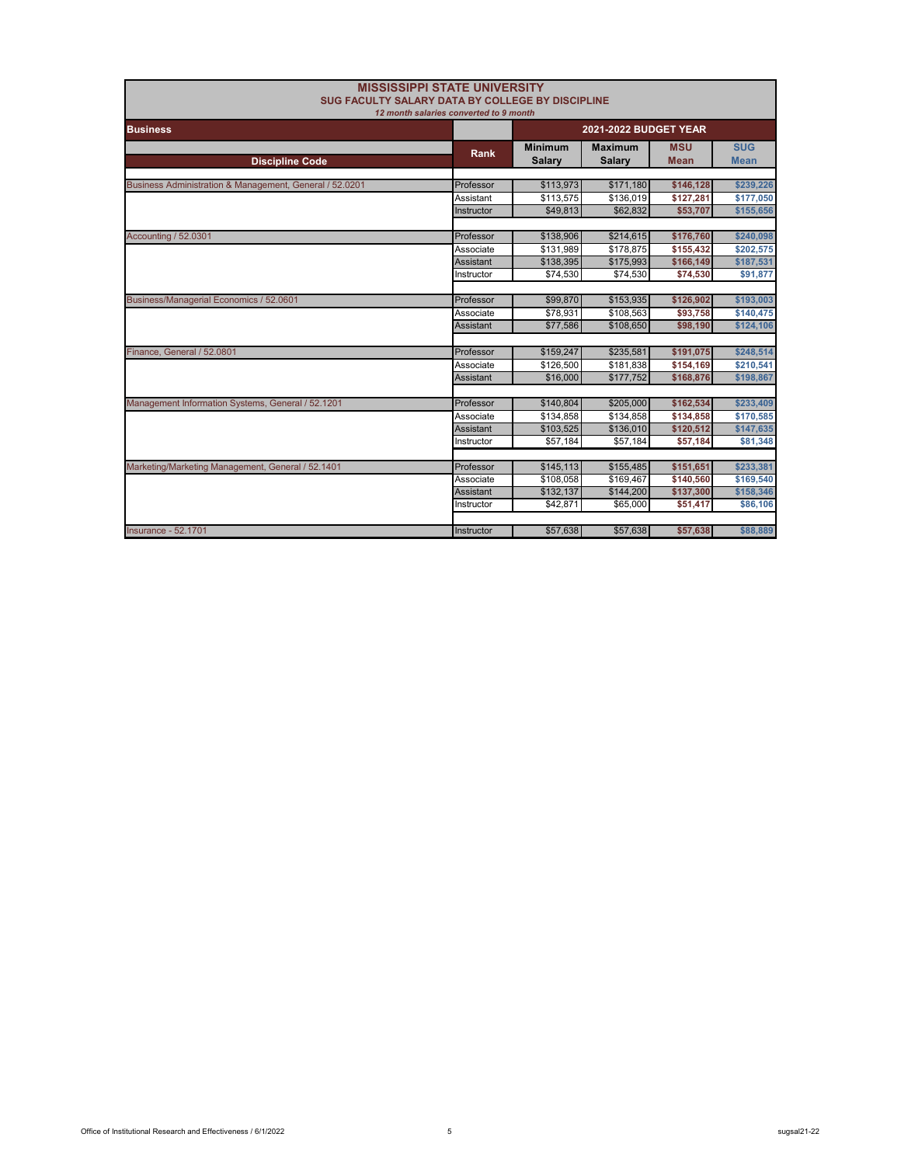| <b>MISSISSIPPI STATE UNIVERSITY</b><br>SUG FACULTY SALARY DATA BY COLLEGE BY DISCIPLINE<br>12 month salaries converted to 9 month |                  |                                 |                                 |                           |                           |
|-----------------------------------------------------------------------------------------------------------------------------------|------------------|---------------------------------|---------------------------------|---------------------------|---------------------------|
| <b>Business</b>                                                                                                                   |                  | <b>2021-2022 BUDGET YEAR</b>    |                                 |                           |                           |
| <b>Discipline Code</b>                                                                                                            | <b>Rank</b>      | <b>Minimum</b><br><b>Salary</b> | <b>Maximum</b><br><b>Salary</b> | <b>MSU</b><br><b>Mean</b> | <b>SUG</b><br><b>Mean</b> |
| Business Administration & Management, General / 52.0201                                                                           | Professor        | \$113,973                       | \$171,180                       | \$146,128                 | \$239,226                 |
|                                                                                                                                   | Assistant        | \$113,575                       | \$136,019                       | \$127,281                 | \$177,050                 |
|                                                                                                                                   | Instructor       | \$49.813                        | \$62,832                        | \$53,707                  | \$155,656                 |
|                                                                                                                                   |                  |                                 |                                 |                           |                           |
| Accounting / 52.0301                                                                                                              | Professor        | \$138,906                       | \$214,615                       | \$176,760                 | \$240,098                 |
|                                                                                                                                   | Associate        | \$131,989                       | \$178,875                       | \$155,432                 | \$202,575                 |
|                                                                                                                                   | <b>Assistant</b> | \$138,395                       | \$175,993                       | \$166,149                 | \$187,531                 |
|                                                                                                                                   | Instructor       | \$74,530                        | \$74,530                        | \$74,530                  | \$91,877                  |
|                                                                                                                                   |                  |                                 |                                 |                           |                           |
| Business/Managerial Economics / 52.0601                                                                                           | Professor        | \$99,870                        | \$153,935                       | \$126,902                 | \$193,003                 |
|                                                                                                                                   | Associate        | \$78,931                        | \$108,563                       | \$93,758                  | \$140,475                 |
|                                                                                                                                   | <b>Assistant</b> | \$77,586                        | \$108,650                       | \$98,190                  | \$124,106                 |
|                                                                                                                                   |                  |                                 |                                 |                           |                           |
| Finance, General / 52.0801                                                                                                        | Professor        | \$159,247                       | \$235,581                       | \$191,075                 | \$248,514                 |
|                                                                                                                                   | Associate        | \$126,500                       | \$181,838                       | \$154,169                 | \$210,541                 |
|                                                                                                                                   | Assistant        | \$16,000                        | \$177,752                       | \$168,876                 | \$198,867                 |
|                                                                                                                                   |                  |                                 |                                 |                           |                           |
| Management Information Systems, General / 52.1201                                                                                 | Professor        | \$140,804                       | \$205,000                       | \$162,534                 | \$233,409                 |
|                                                                                                                                   | Associate        | \$134,858                       | \$134,858                       | \$134,858                 | \$170,585                 |
|                                                                                                                                   | Assistant        | \$103,525                       | \$136,010                       | \$120,512                 | \$147,635                 |
|                                                                                                                                   | Instructor       | \$57,184                        | \$57,184                        | \$57,184                  | \$81,348                  |
|                                                                                                                                   |                  |                                 |                                 |                           |                           |
| Marketing/Marketing Management, General / 52.1401                                                                                 | Professor        | \$145,113                       | \$155,485                       | \$151,651                 | \$233,381                 |
|                                                                                                                                   | Associate        | \$108,058                       | \$169,467                       | \$140,560                 | \$169,540                 |
|                                                                                                                                   | Assistant        | \$132,137                       | \$144,200                       | \$137,300                 | \$158,346                 |
|                                                                                                                                   | Instructor       | \$42,871                        | \$65,000                        | \$51,417                  | \$86,106                  |
|                                                                                                                                   |                  |                                 |                                 |                           |                           |
| <b>Insurance - 52,1701</b>                                                                                                        | Instructor       | \$57,638                        | \$57,638                        | \$57,638                  | \$88,889                  |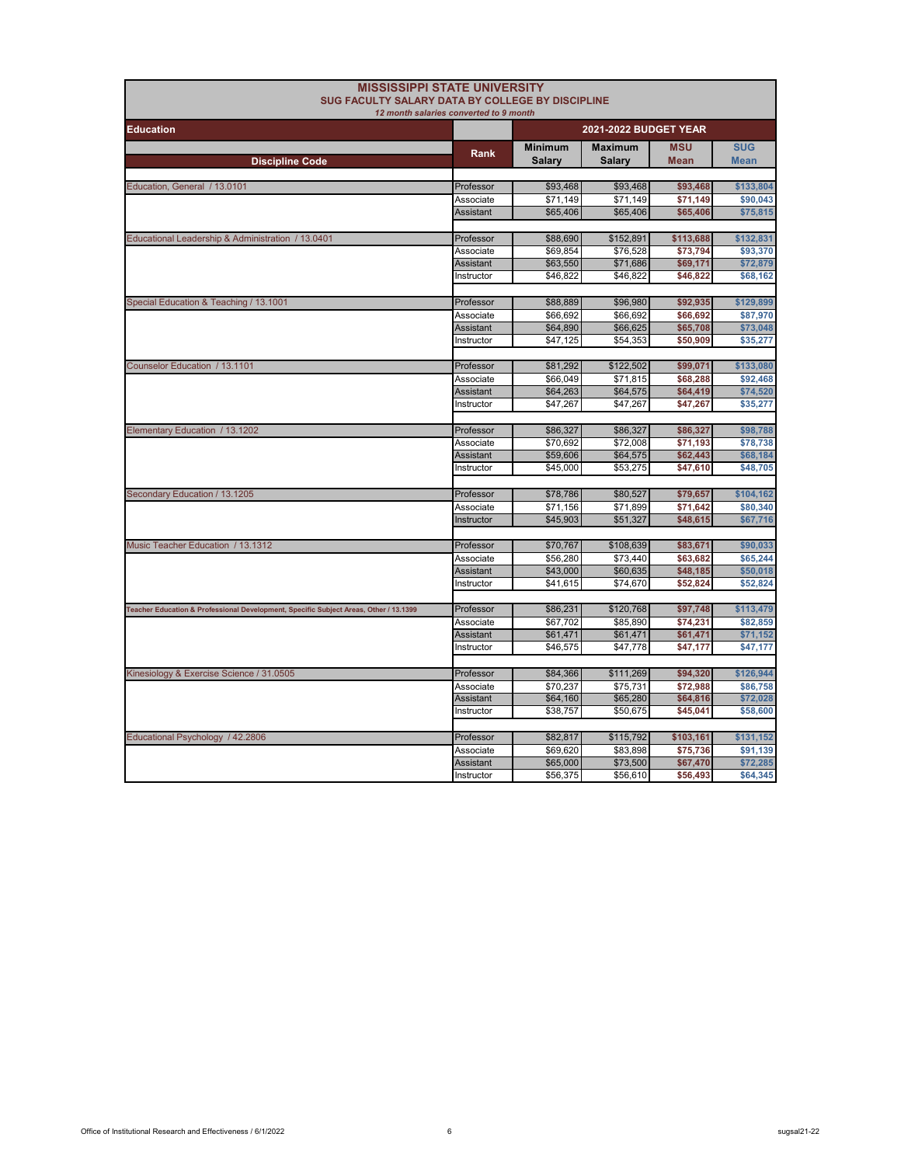| <b>MISSISSIPPI STATE UNIVERSITY</b><br><b>SUG FACULTY SALARY DATA BY COLLEGE BY DISCIPLINE</b> |                                        |                                 |                                 |                           |                           |
|------------------------------------------------------------------------------------------------|----------------------------------------|---------------------------------|---------------------------------|---------------------------|---------------------------|
|                                                                                                | 12 month salaries converted to 9 month |                                 |                                 |                           |                           |
| <b>Education</b>                                                                               |                                        |                                 | 2021-2022 BUDGET YEAR           |                           |                           |
| <b>Discipline Code</b>                                                                         | Rank                                   | <b>Minimum</b><br><b>Salary</b> | <b>Maximum</b><br><b>Salary</b> | <b>MSU</b><br><b>Mean</b> | <b>SUG</b><br><b>Mean</b> |
|                                                                                                |                                        |                                 |                                 |                           |                           |
| Education, General / 13.0101                                                                   | Professor                              | \$93,468                        | \$93,468                        | \$93,468                  | \$133,804                 |
|                                                                                                | Associate                              | \$71,149                        | \$71,149                        | \$71,149                  | \$90.043                  |
|                                                                                                | <b>Assistant</b>                       | \$65,406                        | \$65,406                        | \$65,406                  | \$75,815                  |
| Educational Leadership & Administration / 13.0401                                              | Professor                              | \$88,690                        | \$152,891                       | \$113,688                 | \$132,831                 |
|                                                                                                | Associate                              | \$69,854                        | \$76,528                        | \$73,794                  | \$93,370                  |
|                                                                                                | <b>Assistant</b>                       | \$63,550                        | \$71,686                        | \$69,171                  | \$72,879                  |
|                                                                                                | Instructor                             | \$46,822                        | \$46,822                        | \$46,822                  | \$68,162                  |
|                                                                                                |                                        |                                 |                                 |                           |                           |
| Special Education & Teaching / 13.1001                                                         | Professor                              | \$88,889                        | \$96,980                        | \$92,935                  | \$129,899                 |
|                                                                                                | Associate<br><b>Assistant</b>          | \$66,692<br>\$64,890            | \$66,692<br>\$66,625            | \$66,692<br>\$65,708      | \$87,970<br>\$73,048      |
|                                                                                                | Instructor                             | \$47,125                        | \$54,353                        | \$50,909                  | \$35,277                  |
|                                                                                                |                                        |                                 |                                 |                           |                           |
| Counselor Education / 13.1101                                                                  | Professor                              | \$81,292                        | \$122,502                       | \$99,071                  | \$133,080                 |
|                                                                                                | Associate                              | \$66,049                        | \$71,815                        | \$68,288                  | \$92,468                  |
|                                                                                                | <b>Assistant</b>                       | \$64,263                        | \$64,575                        | \$64,419                  | \$74,520                  |
|                                                                                                | Instructor                             | \$47,267                        | \$47,267                        | \$47,267                  | \$35,277                  |
|                                                                                                |                                        |                                 |                                 |                           |                           |
| Elementary Education / 13.1202                                                                 | Professor                              | \$86,327                        | \$86,327                        | \$86,327                  | \$98,788                  |
|                                                                                                | Associate                              | \$70,692                        | \$72,008                        | \$71,193                  | \$78,738                  |
|                                                                                                | <b>Assistant</b>                       | \$59,606                        | \$64,575                        | \$62,443                  | \$68,184                  |
|                                                                                                | Instructor                             | \$45,000                        | \$53,275                        | \$47,610                  | \$48,705                  |
| Secondary Education / 13.1205                                                                  | Professor                              | \$78,786                        | \$80,527                        | \$79,657                  | \$104,162                 |
|                                                                                                | Associate                              | \$71,156                        | \$71,899                        | \$71,642                  | \$80,340                  |
|                                                                                                | Instructor                             | \$45,903                        | \$51,327                        | \$48,615                  | \$67,716                  |
|                                                                                                |                                        |                                 |                                 |                           |                           |
| Music Teacher Education / 13.1312                                                              | Professor                              | \$70.767                        | \$108,639                       | \$83,671                  | \$90,033                  |
|                                                                                                | Associate                              | \$56,280                        | \$73,440                        | \$63,682                  | \$65,244                  |
|                                                                                                | Assistant                              | \$43,000                        | \$60,635                        | \$48,185                  | \$50,018                  |
|                                                                                                | Instructor                             | \$41,615                        | \$74,670                        | \$52,824                  | \$52,824                  |
|                                                                                                |                                        |                                 |                                 |                           |                           |
| Teacher Education & Professional Development, Specific Subject Areas, Other / 13.1399          | Professor                              | \$86,231                        | \$120,768                       | \$97,748                  | \$113,479                 |
|                                                                                                | Associate                              | \$67,702                        | \$85,890                        | \$74,231                  | \$82,859                  |
|                                                                                                | <b>Assistant</b><br>Instructor         | \$61,471                        | \$61,471                        | \$61,471                  | \$71,152                  |
|                                                                                                |                                        | \$46,575                        | \$47.778                        | \$47,177                  | \$47,177                  |
| Kinesiology & Exercise Science / 31.0505                                                       | Professor                              | \$84,366                        | \$111,269                       | \$94,320                  | \$126,944                 |
|                                                                                                | Associate                              | \$70,237                        | \$75,731                        | \$72,988                  | \$86,758                  |
|                                                                                                | <b>Assistant</b>                       | \$64,160                        | \$65,280                        | \$64,816                  | \$72,028                  |
|                                                                                                | Instructor                             | \$38,757                        | \$50,675                        | \$45,041                  | \$58,600                  |
|                                                                                                |                                        |                                 |                                 |                           |                           |
| Educational Psychology / 42.2806                                                               | Professor                              | \$82,817                        | \$115,792                       | \$103,161                 | \$131,152                 |
|                                                                                                | Associate                              | \$69,620                        | \$83,898                        | \$75,736                  | \$91,139                  |
|                                                                                                | Assistant                              | \$65,000                        | \$73,500                        | \$67,470                  | \$72,285                  |
|                                                                                                | Instructor                             | \$56,375                        | \$56,610                        | \$56,493                  | \$64,345                  |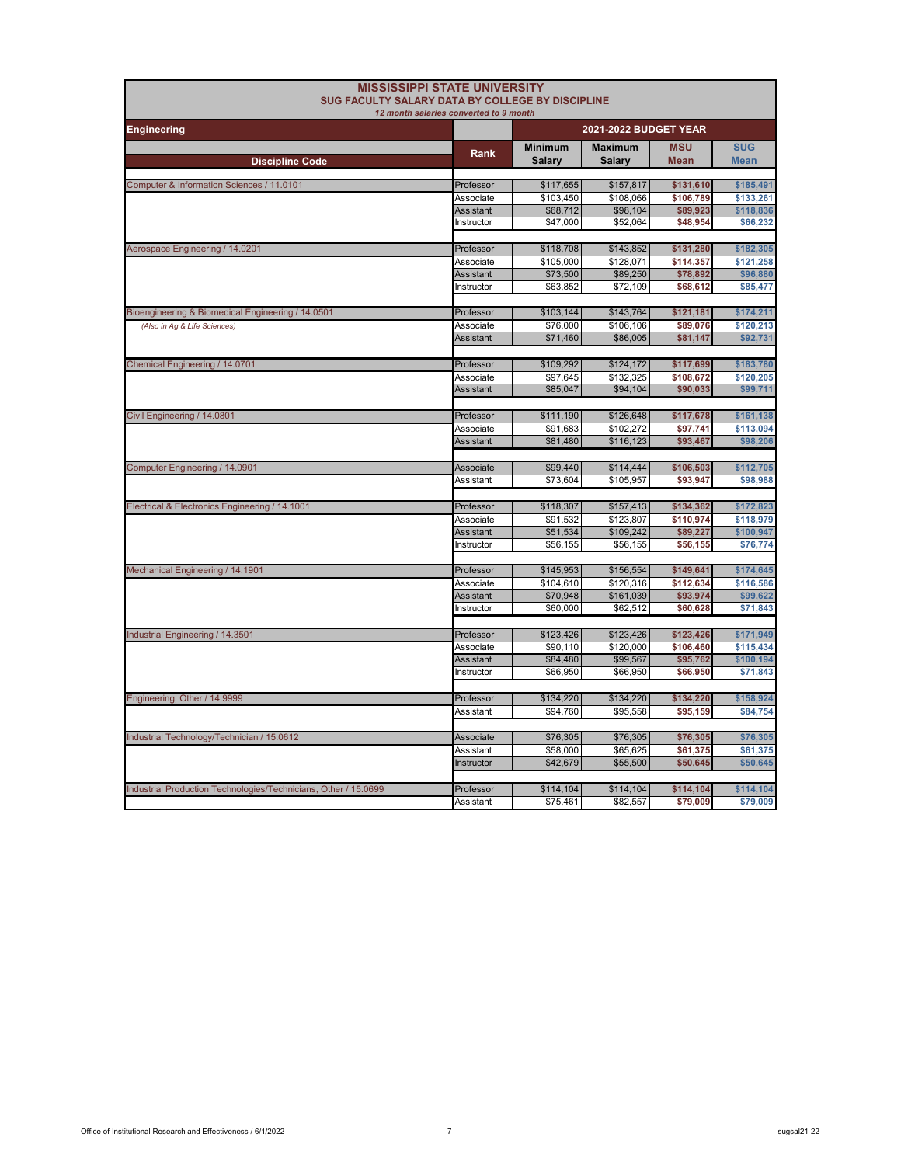| SUG FACULTY SALARY DATA BY COLLEGE BY DISCIPLINE                | <b>MISSISSIPPI STATE UNIVERSITY</b>    |                          |                          |                           |                           |
|-----------------------------------------------------------------|----------------------------------------|--------------------------|--------------------------|---------------------------|---------------------------|
|                                                                 | 12 month salaries converted to 9 month |                          |                          |                           |                           |
| <b>Engineering</b>                                              |                                        |                          | 2021-2022 BUDGET YEAR    |                           |                           |
|                                                                 | Rank                                   | <b>Minimum</b><br>Salary | <b>Maximum</b><br>Salary | <b>MSU</b><br><b>Mean</b> | <b>SUG</b><br><b>Mean</b> |
| <b>Discipline Code</b>                                          |                                        |                          |                          |                           |                           |
| Computer & Information Sciences / 11.0101                       | Professor                              | \$117,655                | \$157,817                | \$131,610                 | \$185,491                 |
|                                                                 | Associate                              | \$103,450                | \$108,066                | \$106,789                 | \$133,261                 |
|                                                                 | <b>Assistant</b>                       | \$68,712                 | \$98,104                 | \$89,923                  | \$118,836                 |
|                                                                 | Instructor                             | \$47,000                 | \$52,064                 | \$48,954                  | \$66,232                  |
| Aerospace Engineering / 14.0201                                 | Professor                              | \$118,708                | \$143,852                | \$131,280                 | \$182,305                 |
|                                                                 | Associate                              | \$105,000                | \$128,071                | \$114,357                 | \$121,258                 |
|                                                                 | <b>Assistant</b>                       | \$73,500                 | \$89,250                 | \$78,892                  | \$96,880                  |
|                                                                 | Instructor                             | \$63,852                 | \$72,109                 | \$68,612                  | \$85,477                  |
| Bioengineering & Biomedical Engineering / 14.0501               | Professor                              | \$103,144                | \$143,764                | \$121,181                 | \$174,211                 |
| (Also in Ag & Life Sciences)                                    | Associate                              | \$76,000                 | \$106,106                | \$89,076                  | \$120,213                 |
|                                                                 | <b>Assistant</b>                       | \$71,460                 | \$86,005                 | \$81,147                  | \$92,731                  |
| Chemical Engineering / 14.0701                                  | Professor                              | \$109,292                | \$124,172                | \$117,699                 | \$183,780                 |
|                                                                 | Associate                              | \$97,645                 | \$132,325                | \$108,672                 | \$120,205                 |
|                                                                 | Assistant                              | \$85,047                 | \$94,104                 | \$90,033                  | \$99,711                  |
| Civil Engineering / 14.0801                                     | Professor                              | \$111,190                | \$126,648                | \$117,678                 | \$161,138                 |
|                                                                 | Associate                              | \$91,683                 | \$102,272                | \$97,741                  | \$113,094                 |
|                                                                 | <b>Assistant</b>                       | \$81,480                 | \$116,123                | \$93,467                  | \$98,206                  |
| Computer Engineering / 14.0901                                  | Associate                              | \$99,440                 | \$114,444                | \$106,503                 | \$112,705                 |
|                                                                 | Assistant                              | \$73,604                 | \$105,957                | \$93,947                  | \$98,988                  |
|                                                                 |                                        |                          |                          |                           |                           |
| Electrical & Electronics Engineering / 14.1001                  | Professor                              | \$118,307                | \$157,413                | \$134,362                 | \$172,823                 |
|                                                                 | Associate                              | \$91,532                 | \$123,807                | \$110,974                 | \$118,979                 |
|                                                                 | Assistant                              | \$51,534                 | \$109,242                | \$89,227                  | \$100,947                 |
|                                                                 | Instructor                             | \$56,155                 | \$56,155                 | \$56,155                  | \$76,774                  |
| Mechanical Engineering / 14.1901                                | Professor                              | \$145,953                | \$156,554                | \$149,641                 | \$174,645                 |
|                                                                 | Associate                              | \$104,610                | \$120.316                | \$112.634                 | \$116,586                 |
|                                                                 | <b>Assistant</b>                       | \$70,948                 | \$161,039                | \$93,974                  | \$99,622                  |
|                                                                 | Instructor                             | \$60,000                 | \$62,512                 | \$60,628                  | \$71,843                  |
| Industrial Engineering / 14.3501                                | Professor                              | \$123,426                | \$123,426                | \$123,426                 | \$171,949                 |
|                                                                 | Associate                              | \$90,110                 | \$120,000                | \$106,460                 | \$115,434                 |
|                                                                 | <b>Assistant</b>                       | \$84,480                 | \$99,567                 | \$95,762                  | \$100,194                 |
|                                                                 | Instructor                             | \$66,950                 | \$66,950                 | \$66,950                  | \$71,843                  |
| Engineering, Other / 14.9999                                    | Professor                              | \$134,220                | \$134,220                | \$134,220                 | \$158,924                 |
|                                                                 | Assistant                              | \$94,760                 | \$95,558                 | \$95,159                  | \$84,754                  |
| Industrial Technology/Technician / 15.0612                      | <b>Associate</b>                       | \$76,305                 | \$76,305                 | \$76,305                  | \$76,305                  |
|                                                                 | Assistant                              | \$58,000                 | \$65,625                 | \$61,375                  | \$61,375                  |
|                                                                 | Instructor                             | \$42,679                 | \$55,500                 | \$50,645                  | \$50,645                  |
|                                                                 |                                        |                          |                          |                           |                           |
| Industrial Production Technologies/Technicians, Other / 15.0699 | Professor                              | \$114,104                | \$114,104                | \$114,104                 | \$114,104                 |
|                                                                 | Assistant                              | \$75,461                 | \$82,557                 | \$79,009                  | \$79,009                  |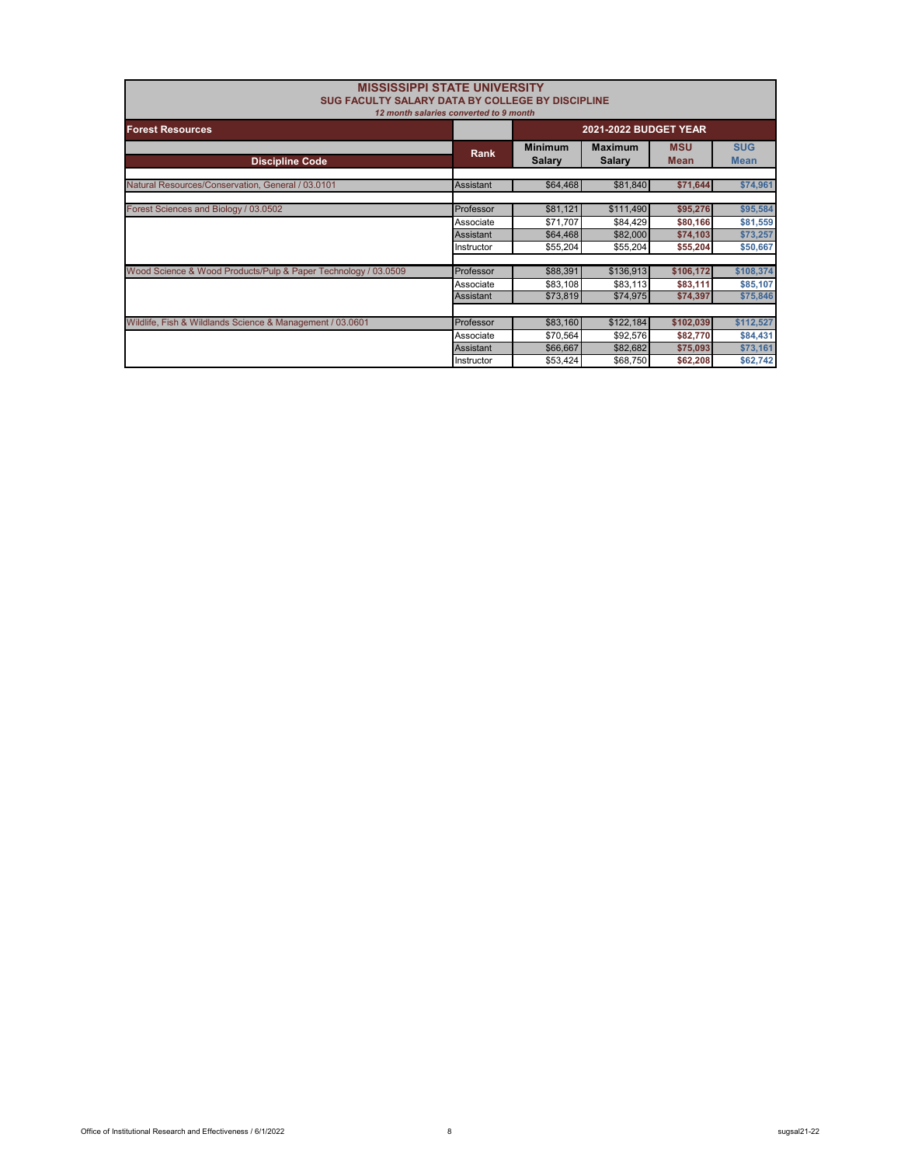|            | <b>MISSISSIPPI STATE UNIVERSITY</b>                            |                                                                                                                |                                                                                                                                 |                                                                      |
|------------|----------------------------------------------------------------|----------------------------------------------------------------------------------------------------------------|---------------------------------------------------------------------------------------------------------------------------------|----------------------------------------------------------------------|
|            | 2021-2022 BUDGET YEAR                                          |                                                                                                                |                                                                                                                                 |                                                                      |
| Rank       | <b>Minimum</b><br><b>Salary</b>                                | <b>Maximum</b><br><b>Salary</b>                                                                                | <b>MSU</b><br><b>Mean</b>                                                                                                       | <b>SUG</b><br><b>Mean</b>                                            |
| Assistant  | \$64,468                                                       | \$81,840                                                                                                       | \$71,644                                                                                                                        | \$74,961                                                             |
| Professor  | \$81,121                                                       | \$111,490                                                                                                      | \$95,276                                                                                                                        | \$95,584                                                             |
| Assistant  | \$64,468                                                       | \$82,000                                                                                                       | \$74,103                                                                                                                        | \$81,559<br>\$73,257                                                 |
| Instructor |                                                                |                                                                                                                |                                                                                                                                 | \$50,667                                                             |
| Professor  | \$88,391                                                       | \$136,913                                                                                                      | \$106,172                                                                                                                       | \$108,374                                                            |
| Assistant  | \$73,819                                                       | \$74,975                                                                                                       | \$74,397                                                                                                                        | \$85,107<br>\$75,846                                                 |
|            |                                                                |                                                                                                                |                                                                                                                                 |                                                                      |
| Professor  | \$83,160                                                       | \$122,184                                                                                                      | \$102,039                                                                                                                       | \$112,527                                                            |
|            |                                                                |                                                                                                                |                                                                                                                                 | \$84,431                                                             |
|            |                                                                |                                                                                                                |                                                                                                                                 | \$73,161<br>\$62,742                                                 |
|            | Associate<br>Associate<br>Associate<br>Assistant<br>Instructor | 12 month salaries converted to 9 month<br>\$71.707<br>\$55,204<br>\$83,108<br>\$70,564<br>\$66,667<br>\$53,424 | <b>SUG FACULTY SALARY DATA BY COLLEGE BY DISCIPLINE</b><br>\$84,429<br>\$55,204<br>\$83,113<br>\$92,576<br>\$82,682<br>\$68,750 | \$80,166<br>\$55,204<br>\$83,111<br>\$82,770<br>\$75,093<br>\$62,208 |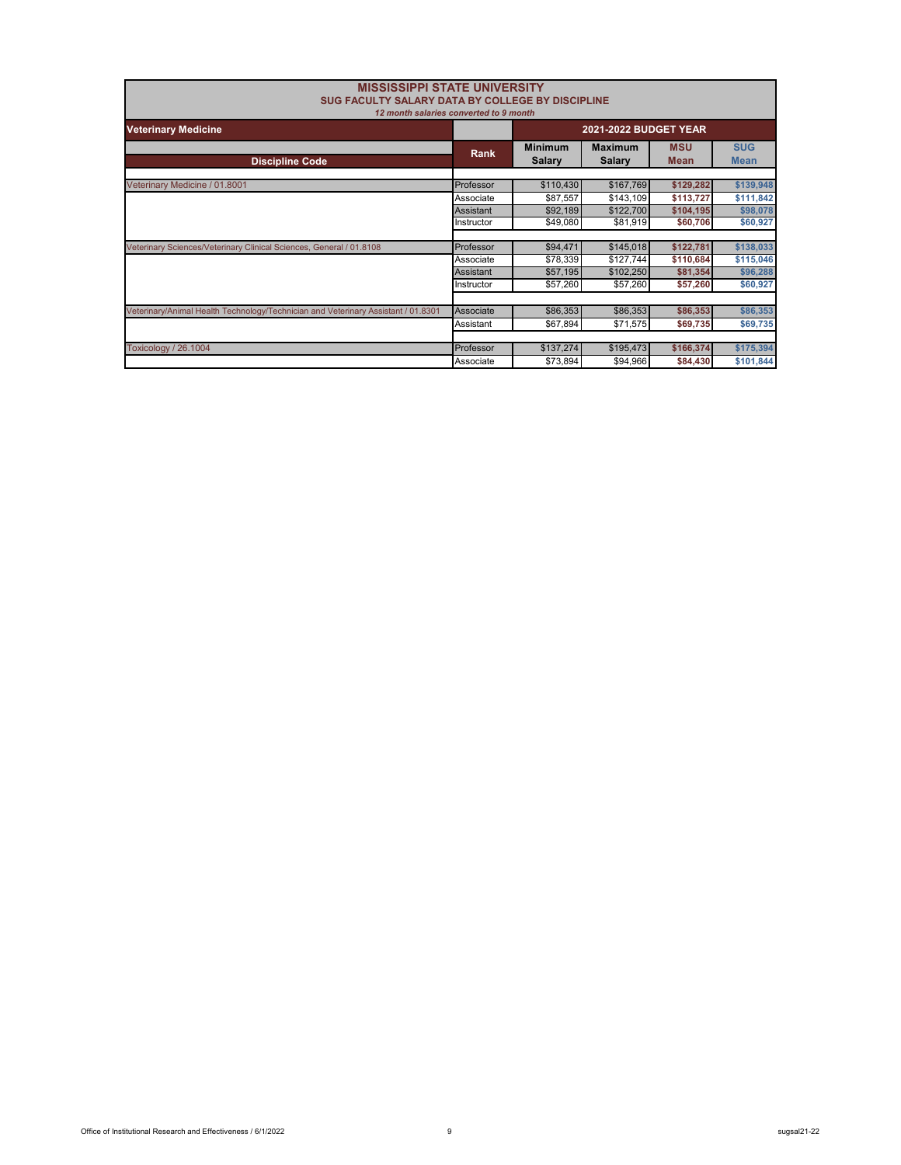| <b>MISSISSIPPI STATE UNIVERSITY</b><br>SUG FACULTY SALARY DATA BY COLLEGE BY DISCIPLINE<br>12 month salaries converted to 9 month |            |                                 |                                 |                           |                           |
|-----------------------------------------------------------------------------------------------------------------------------------|------------|---------------------------------|---------------------------------|---------------------------|---------------------------|
| <b>Veterinary Medicine</b>                                                                                                        |            | 2021-2022 BUDGET YEAR           |                                 |                           |                           |
| <b>Discipline Code</b>                                                                                                            | Rank       | <b>Minimum</b><br><b>Salary</b> | <b>Maximum</b><br><b>Salary</b> | <b>MSU</b><br><b>Mean</b> | <b>SUG</b><br><b>Mean</b> |
| Veterinary Medicine / 01.8001                                                                                                     | Professor  | \$110,430                       | \$167,769                       | \$129,282                 | \$139,948                 |
|                                                                                                                                   | Associate  | \$87,557                        | \$143,109                       | \$113,727                 | \$111,842                 |
|                                                                                                                                   | Assistant  | \$92,189                        | \$122,700                       | \$104,195                 | \$98,078                  |
|                                                                                                                                   | Instructor | \$49,080                        | \$81,919                        | \$60,706                  | \$60,927                  |
|                                                                                                                                   |            |                                 |                                 |                           |                           |
| Veterinary Sciences/Veterinary Clinical Sciences, General / 01.8108                                                               | Professor  | \$94,471                        | \$145,018                       | \$122,781                 | \$138,033                 |
|                                                                                                                                   | Associate  | \$78,339                        | \$127,744                       | \$110,684                 | \$115,046                 |
|                                                                                                                                   | Assistant  | \$57,195                        | \$102,250                       | \$81,354                  | \$96,288                  |
|                                                                                                                                   | Instructor | \$57,260                        | \$57,260                        | \$57,260                  | \$60,927                  |
|                                                                                                                                   |            |                                 |                                 |                           |                           |
| Veterinary/Animal Health Technology/Technician and Veterinary Assistant / 01.8301                                                 | Associate  | \$86,353                        | \$86,353                        | \$86,353                  | \$86,353                  |
|                                                                                                                                   | Assistant  | \$67,894                        | \$71,575                        | \$69,735                  | \$69,735                  |
|                                                                                                                                   |            |                                 |                                 |                           |                           |
| <b>Toxicology / 26.1004</b>                                                                                                       | Professor  | \$137,274                       | \$195,473                       | \$166,374                 | \$175,394                 |
|                                                                                                                                   | Associate  | \$73.894                        | \$94.966                        | \$84,430                  | \$101,844                 |